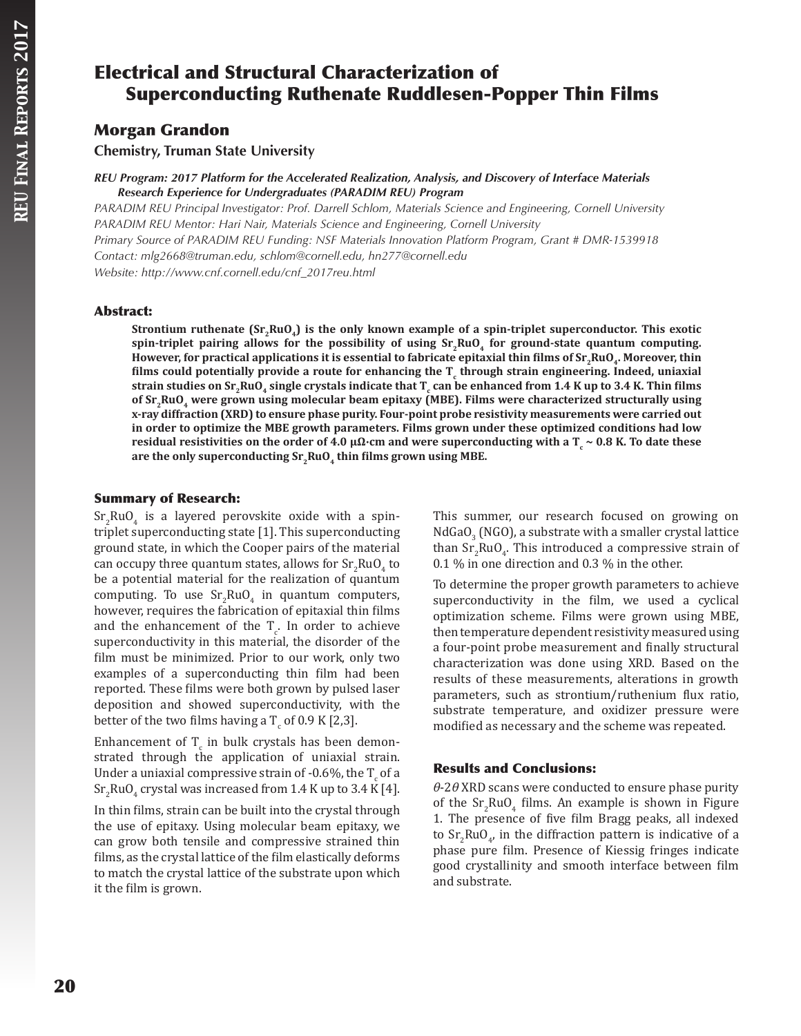# Electrical and Structural Characterization of Superconducting Ruthenate Ruddlesen-Popper Thin Films

## Morgan Grandon

**Chemistry, Truman State University**

*REU Program: 2017 Platform for the Accelerated Realization, Analysis, and Discovery of Interface Materials Research Experience for Undergraduates (PARADIM REU) Program*

*PARADIM REU Principal Investigator: Prof. Darrell Schlom, Materials Science and Engineering, Cornell University PARADIM REU Mentor: Hari Nair, Materials Science and Engineering, Cornell University Primary Source of PARADIM REU Funding: NSF Materials Innovation Platform Program, Grant # DMR-1539918 Contact: mlg2668@truman.edu, schlom@cornell.edu, hn277@cornell.edu Website: http://www.cnf.cornell.edu/cnf\_2017reu.html*

## Abstract:

Strontium ruthenate (Sr,RuO<sub>4</sub>) is the only known example of a spin-triplet superconductor. This exotic spin-triplet pairing allows for the possibility of using  $Sr, RuO<sub>4</sub>$  for ground-state quantum computing. **However, for practical applications it is essential to fabricate epitaxial thin films of Sr<sub>2</sub>RuO<sub>4</sub>. Moreover, thin films could potentially provide a route for enhancing the T<sup>c</sup> through strain engineering. Indeed, uniaxial**  strain studies on Sr<sub>2</sub>RuO<sub>4</sub> single crystals indicate that T<sub>c</sub> can be enhanced from 1.4 K up to 3.4 K. Thin films **of Sr2RuO4 were grown using molecular beam epitaxy (MBE). Films were characterized structurally using x-ray diffraction (XRD) to ensure phase purity. Four-point probe resistivity measurements were carried out in order to optimize the MBE growth parameters. Films grown under these optimized conditions had low residual resistivities on the order of 4.0 µΩ∙cm and were superconducting with a T<sup>c</sup> ~ 0.8 K. To date these**  are the only superconducting Sr<sub>2</sub>RuO<sub>4</sub> thin films grown using MBE.

## Summary of Research:

 $\text{Sr}_2\text{RuO}_4$  is a layered perovskite oxide with a spintriplet superconducting state [1]. This superconducting ground state, in which the Cooper pairs of the material can occupy three quantum states, allows for  $\text{Sr}_2\text{RuO}_4$  to be a potential material for the realization of quantum computing. To use  $Sr_2RuO_4$  in quantum computers, however, requires the fabrication of epitaxial thin films and the enhancement of the  $T_c$ . In order to achieve superconductivity in this material, the disorder of the film must be minimized. Prior to our work, only two examples of a superconducting thin film had been reported. These films were both grown by pulsed laser deposition and showed superconductivity, with the better of the two films having a  $T_{\rm c}$  of 0.9 K [2,3].

Enhancement of  $T_{c}$  in bulk crystals has been demonstrated through the application of uniaxial strain. Under a uniaxial compressive strain of -0.6%, the  $T_{c}$  of a  $\mathrm{Sr_2RuO_4}$  crystal was increased from 1.4 K up to 3.4 K [4].

In thin films, strain can be built into the crystal through the use of epitaxy. Using molecular beam epitaxy, we can grow both tensile and compressive strained thin films, as the crystal lattice of the film elastically deforms to match the crystal lattice of the substrate upon which it the film is grown.

This summer, our research focused on growing on  $NddaO_3$  (NGO), a substrate with a smaller crystal lattice than  $Sr_2RuO_4$ . This introduced a compressive strain of 0.1 % in one direction and 0.3 % in the other.

To determine the proper growth parameters to achieve superconductivity in the film, we used a cyclical optimization scheme. Films were grown using MBE, then temperature dependent resistivity measured using a four-point probe measurement and finally structural characterization was done using XRD. Based on the results of these measurements, alterations in growth parameters, such as strontium/ruthenium flux ratio, substrate temperature, and oxidizer pressure were modified as necessary and the scheme was repeated.

## Results and Conclusions:

*θ*-2*θ* XRD scans were conducted to ensure phase purity of the  $Sr_2RuO_4$  films. An example is shown in Figure 1. The presence of five film Bragg peaks, all indexed to  $Sr_2RuO_4$ , in the diffraction pattern is indicative of a phase pure film. Presence of Kiessig fringes indicate good crystallinity and smooth interface between film and substrate.